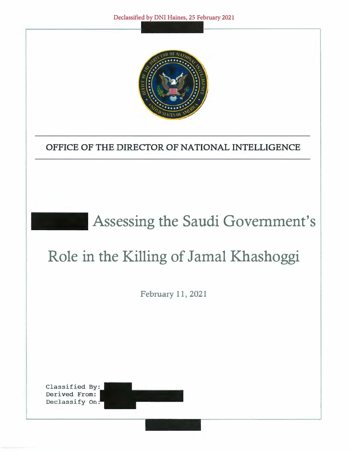

### **OFFICE OF THE DIRECTOR OF NATIONAL INTELLIGENCE**

# **Assessing the Saudi Government's**

## Role in the Killing of Jamal Khashoggi

February 11, 2021

Classified By: Derived From: Declassify On: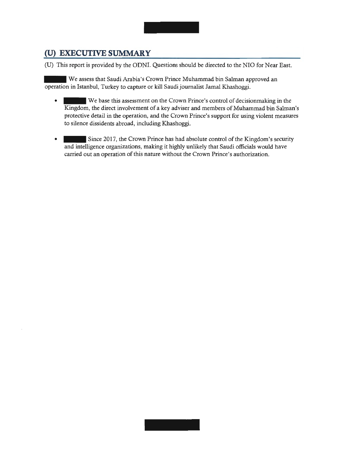

#### **(U) EXECUTIVE SUMMARY**

(U) This report is provided by the ODNI. Questions should be directed to the NIO for Near East.

- We assess that Saudi Arabia's Crown Prince Muhammad bin Salman approved an operation in Istanbul, Turkey to capture or kill Saudi journalist Jamal Khashoggi.

- We base this assessment on the Crown Prince's control of decisionmaking in the Kingdom, the direct involvement of a key adviser and members of Muhammad bin Salman's protective detail in the operation, and the Crown Prince's support for using violent measures to silence dissidents abroad, including Khashoggi.
- Since 2017, the Crown Prince has had absolute control of the Kingdom's security and intelligence organizations, making it highly unlikely that Saudi officials would have carried out an operation of this nature without the Crown Prince's authorization.

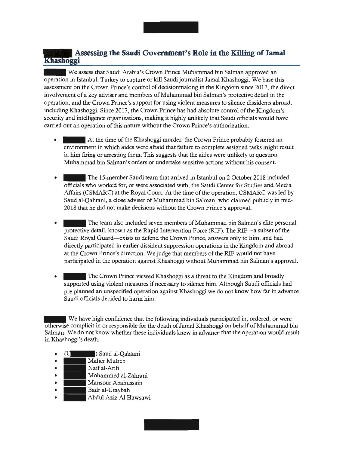

#### Assessing the Saudi Government's Role in the Killing of Jamal **miaslio'gg1**

- We assess that Saudi Arabia's Crown Prince Muhammad bin Salman approved an operation in Istanbul, Turkey to capture or kill Saudi journalist Jamal Khashoggi. We base this assessment on the Crown Prince's control of decisionmaking in the Kingdom since 2017, the direct involvement of a key adviser and members of Muhammad bin Salman's protective detail in the operation, and the Crown Prince's support for using violent measures to silence dissidents abroad, including Khashoggi. Since 2017, the Crown Prince has had absolute control of the Kingdom's security and intelligence organizations, making it highly unlikely that Saudi officials would have carried out an operation of this nature without the Crown Prince's authorization.

- **At the time of the Khashoggi murder, the Crown Prince probably fostered an** environment in which aides were afraid that failure to complete assigned tasks might result in him firing or arresting them. This suggests that the aides were unlikely to question Muhammad bin Salman's orders or undertake sensitive actions without his consent.
- The 15-member Saudi team that arrived in Istanbul on 2 October 2018 included officials who worked for, or were associated with, the Saudi Center for Studies and Media Affairs (CSMARC) at the Royal Court. At the time of the operation, CSMARC was led by Saud al-Qahtani, a close adviser of Muhammad bin Salman, who claimed publicly in mid-2018 that he did not make decisions without the Crown Prince's approval.
- The team also included seven members of Muhammad bin Salman's elite personal protective detail, known as the Rapid Intervention Force (RIF). The RIF-a subset of the Saudi Royal Guard-exists to defend the Crown Prince, answers only to him, and had directly participated in earlier dissident suppression operations in the Kingdom and abroad at the Crown Prince's direction. We judge that members of the RIF would not have participated in the operation against Khashoggi without Muhammad bin Salman's approval.
- The Crown Prince viewed Khashoggi as a threat to the Kingdom and broadly supported using violent measures if necessary to silence him. Although Saudi officials had pre-planned an unspecified operation against Khashoggi we do not know how far in advance Saudi officials decided to harm him.

- We have high confidence that the following individuals participated in, ordered, or were otherwise complicit in or responsible for the death of Jamal Khashoggi on behalf of Muhammad bin Salman. We do not know whether these individuals knew in advance that the operation would result in Khashoggi's death.

- (U ) Saud al-Qahtani
- Maher Mutreb
- Naif al-Arifi Mohammed
- Mohammed al-Zahrani
- Mansour Abahussain
- Badr al-Utaybah
- - Abdul Aziz Al Hawsawi